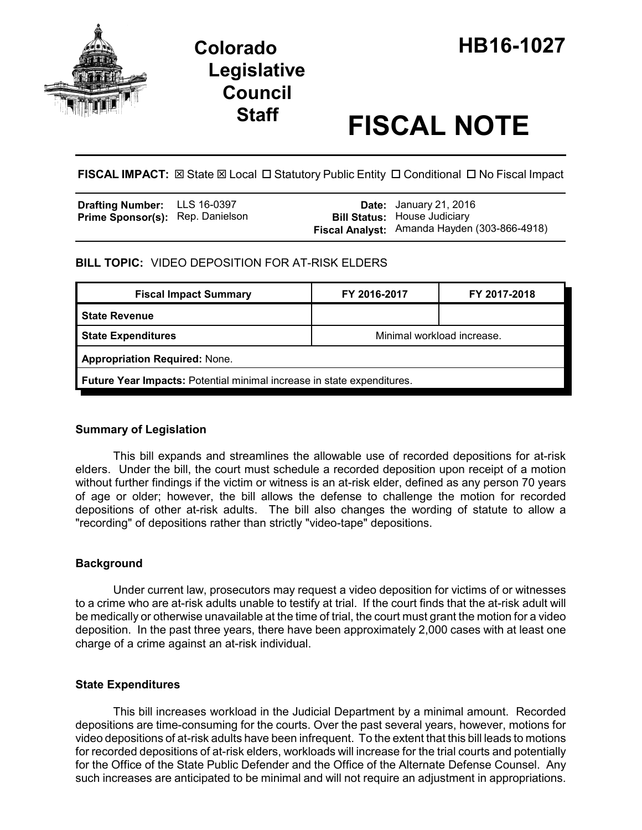

# **Legislative Council**

# **Staff FISCAL NOTE**

**FISCAL IMPACT:**  $\boxtimes$  State  $\boxtimes$  Local  $\Box$  Statutory Public Entity  $\Box$  Conditional  $\Box$  No Fiscal Impact

| <b>Drafting Number:</b> LLS 16-0397     |  | <b>Date:</b> January 21, 2016                                                       |
|-----------------------------------------|--|-------------------------------------------------------------------------------------|
| <b>Prime Sponsor(s): Rep. Danielson</b> |  | <b>Bill Status: House Judiciary</b><br>Fiscal Analyst: Amanda Hayden (303-866-4918) |

# **BILL TOPIC:** VIDEO DEPOSITION FOR AT-RISK ELDERS

| <b>Fiscal Impact Summary</b>                                                  | FY 2016-2017               | FY 2017-2018 |  |  |  |
|-------------------------------------------------------------------------------|----------------------------|--------------|--|--|--|
| l State Revenue                                                               |                            |              |  |  |  |
| <b>State Expenditures</b>                                                     | Minimal workload increase. |              |  |  |  |
| <b>Appropriation Required: None.</b>                                          |                            |              |  |  |  |
| <b>Future Year Impacts:</b> Potential minimal increase in state expenditures. |                            |              |  |  |  |

## **Summary of Legislation**

This bill expands and streamlines the allowable use of recorded depositions for at-risk elders. Under the bill, the court must schedule a recorded deposition upon receipt of a motion without further findings if the victim or witness is an at-risk elder, defined as any person 70 years of age or older; however, the bill allows the defense to challenge the motion for recorded depositions of other at-risk adults. The bill also changes the wording of statute to allow a "recording" of depositions rather than strictly "video-tape" depositions.

## **Background**

Under current law, prosecutors may request a video deposition for victims of or witnesses to a crime who are at-risk adults unable to testify at trial. If the court finds that the at-risk adult will be medically or otherwise unavailable at the time of trial, the court must grant the motion for a video deposition. In the past three years, there have been approximately 2,000 cases with at least one charge of a crime against an at-risk individual.

## **State Expenditures**

This bill increases workload in the Judicial Department by a minimal amount. Recorded depositions are time-consuming for the courts. Over the past several years, however, motions for video depositions of at-risk adults have been infrequent. To the extent that this bill leads to motions for recorded depositions of at-risk elders, workloads will increase for the trial courts and potentially for the Office of the State Public Defender and the Office of the Alternate Defense Counsel. Any such increases are anticipated to be minimal and will not require an adjustment in appropriations.